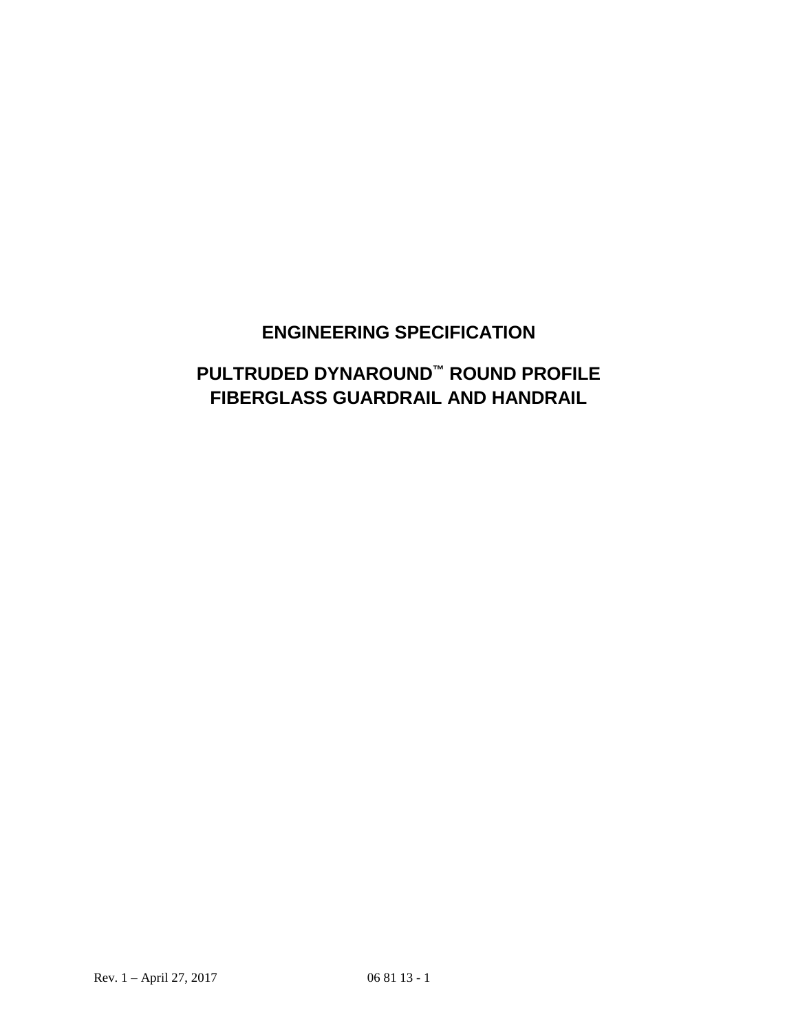# **ENGINEERING SPECIFICATION**

# **PULTRUDED DYNAROUND™ ROUND PROFILE FIBERGLASS GUARDRAIL AND HANDRAIL**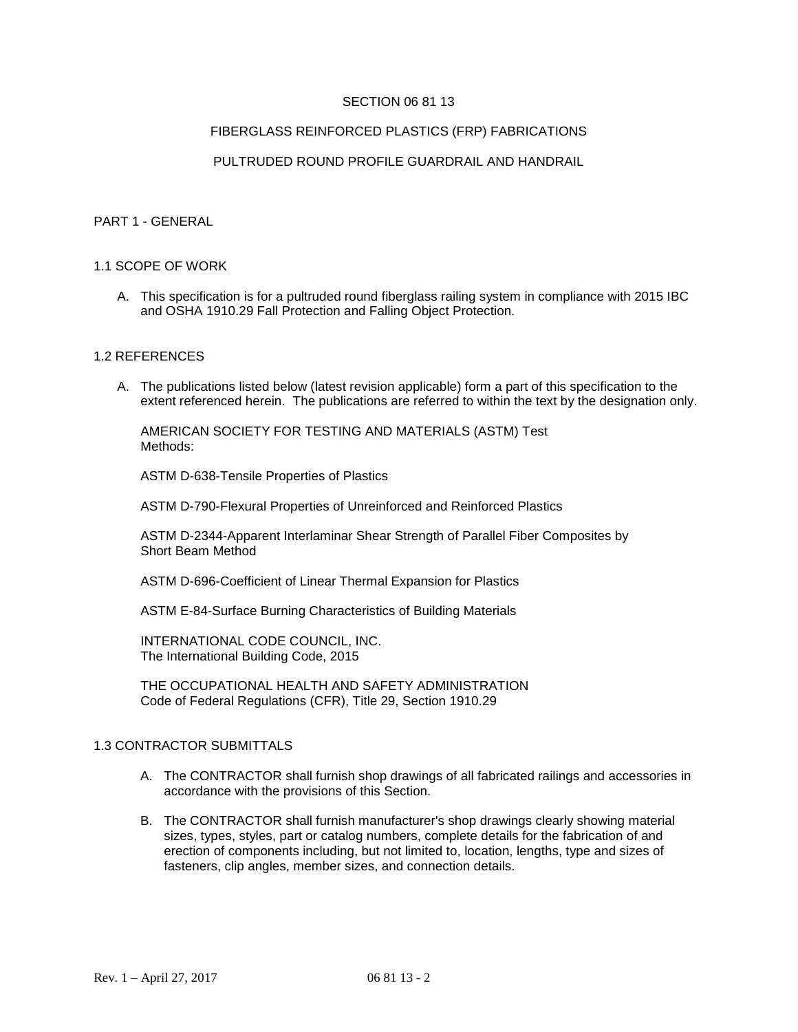## SECTION 06 81 13

#### FIBERGLASS REINFORCED PLASTICS (FRP) FABRICATIONS

## PULTRUDED ROUND PROFILE GUARDRAIL AND HANDRAIL

#### PART 1 - GENERAL

#### 1.1 SCOPE OF WORK

A. This specification is for a pultruded round fiberglass railing system in compliance with 2015 IBC and OSHA 1910.29 Fall Protection and Falling Object Protection.

#### 1.2 REFERENCES

A. The publications listed below (latest revision applicable) form a part of this specification to the extent referenced herein. The publications are referred to within the text by the designation only.

AMERICAN SOCIETY FOR TESTING AND MATERIALS (ASTM) Test Methods:

ASTM D-638-Tensile Properties of Plastics

ASTM D-790-Flexural Properties of Unreinforced and Reinforced Plastics

ASTM D-2344-Apparent Interlaminar Shear Strength of Parallel Fiber Composites by Short Beam Method

ASTM D-696-Coefficient of Linear Thermal Expansion for Plastics

ASTM E-84-Surface Burning Characteristics of Building Materials

INTERNATIONAL CODE COUNCIL, INC. The International Building Code, 2015

THE OCCUPATIONAL HEALTH AND SAFETY ADMINISTRATION Code of Federal Regulations (CFR), Title 29, Section 1910.29

## 1.3 CONTRACTOR SUBMITTALS

- A. The CONTRACTOR shall furnish shop drawings of all fabricated railings and accessories in accordance with the provisions of this Section.
- B. The CONTRACTOR shall furnish manufacturer's shop drawings clearly showing material sizes, types, styles, part or catalog numbers, complete details for the fabrication of and erection of components including, but not limited to, location, lengths, type and sizes of fasteners, clip angles, member sizes, and connection details.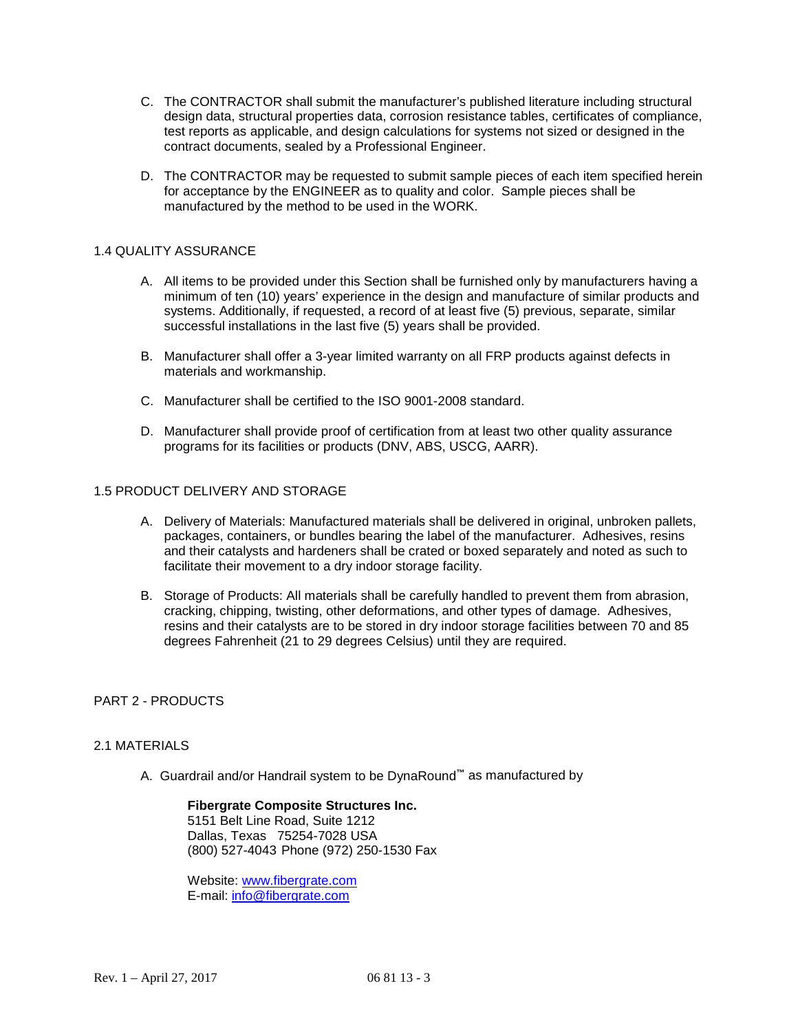- C. The CONTRACTOR shall submit the manufacturer's published literature including structural design data, structural properties data, corrosion resistance tables, certificates of compliance, test reports as applicable, and design calculations for systems not sized or designed in the contract documents, sealed by a Professional Engineer.
- D. The CONTRACTOR may be requested to submit sample pieces of each item specified herein for acceptance by the ENGINEER as to quality and color. Sample pieces shall be manufactured by the method to be used in the WORK.

## 1.4 QUALITY ASSURANCE

- A. All items to be provided under this Section shall be furnished only by manufacturers having a minimum of ten (10) years' experience in the design and manufacture of similar products and systems. Additionally, if requested, a record of at least five (5) previous, separate, similar successful installations in the last five (5) years shall be provided.
- B. Manufacturer shall offer a 3-year limited warranty on all FRP products against defects in materials and workmanship.
- C. Manufacturer shall be certified to the ISO 9001-2008 standard.
- D. Manufacturer shall provide proof of certification from at least two other quality assurance programs for its facilities or products (DNV, ABS, USCG, AARR).

# 1.5 PRODUCT DELIVERY AND STORAGE

- A. Delivery of Materials: Manufactured materials shall be delivered in original, unbroken pallets, packages, containers, or bundles bearing the label of the manufacturer. Adhesives, resins and their catalysts and hardeners shall be crated or boxed separately and noted as such to facilitate their movement to a dry indoor storage facility.
- B. Storage of Products: All materials shall be carefully handled to prevent them from abrasion, cracking, chipping, twisting, other deformations, and other types of damage. Adhesives, resins and their catalysts are to be stored in dry indoor storage facilities between 70 and 85 degrees Fahrenheit (21 to 29 degrees Celsius) until they are required.

## PART 2 - PRODUCTS

## 2.1 MATERIALS

A. Guardrail and/or Handrail system to be DynaRound**™** as manufactured by

**Fibergrate Composite Structures Inc.** 5151 Belt Line Road, Suite 1212 Dallas, Texas 75254-7028 USA (800) 527-4043 Phone (972) 250-1530 Fax

Website: [www.fibergrate.com](http://www.fibergrate.com/) E-mail: [info@fibergrate.com](mailto:info@fibergrate.com)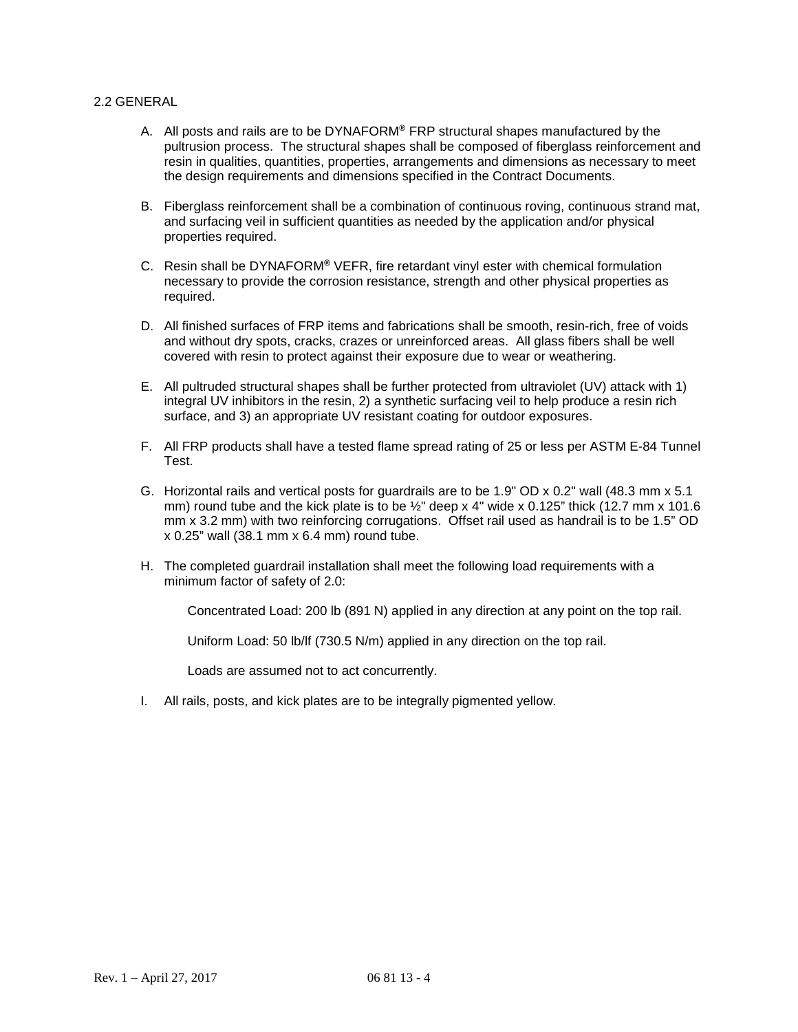## 2.2 GENERAL

- A. All posts and rails are to be DYNAFORM**®** FRP structural shapes manufactured by the pultrusion process. The structural shapes shall be composed of fiberglass reinforcement and resin in qualities, quantities, properties, arrangements and dimensions as necessary to meet the design requirements and dimensions specified in the Contract Documents.
- B. Fiberglass reinforcement shall be a combination of continuous roving, continuous strand mat, and surfacing veil in sufficient quantities as needed by the application and/or physical properties required.
- C. Resin shall be DYNAFORM**®** VEFR, fire retardant vinyl ester with chemical formulation necessary to provide the corrosion resistance, strength and other physical properties as required.
- D. All finished surfaces of FRP items and fabrications shall be smooth, resin-rich, free of voids and without dry spots, cracks, crazes or unreinforced areas. All glass fibers shall be well covered with resin to protect against their exposure due to wear or weathering.
- E. All pultruded structural shapes shall be further protected from ultraviolet (UV) attack with 1) integral UV inhibitors in the resin, 2) a synthetic surfacing veil to help produce a resin rich surface, and 3) an appropriate UV resistant coating for outdoor exposures.
- F. All FRP products shall have a tested flame spread rating of 25 or less per ASTM E-84 Tunnel Test.
- G. Horizontal rails and vertical posts for guardrails are to be 1.9" OD x 0.2" wall (48.3 mm x 5.1 mm) round tube and the kick plate is to be  $\frac{1}{2}$ " deep x 4" wide x 0.125" thick (12.7 mm x 101.6) mm x 3.2 mm) with two reinforcing corrugations. Offset rail used as handrail is to be 1.5" OD x 0.25" wall (38.1 mm x 6.4 mm) round tube.
- H. The completed guardrail installation shall meet the following load requirements with a minimum factor of safety of 2.0:

Concentrated Load: 200 lb (891 N) applied in any direction at any point on the top rail.

Uniform Load: 50 lb/lf (730.5 N/m) applied in any direction on the top rail.

Loads are assumed not to act concurrently.

I. All rails, posts, and kick plates are to be integrally pigmented yellow.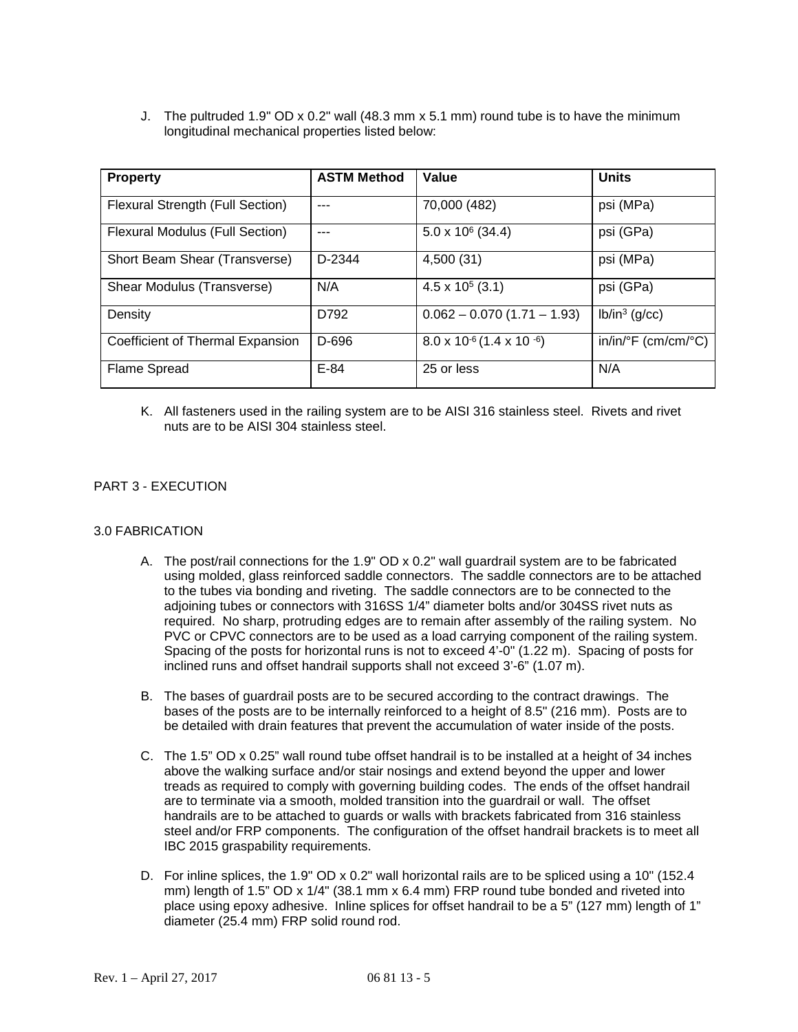J. The pultruded 1.9" OD x 0.2" wall (48.3 mm x 5.1 mm) round tube is to have the minimum longitudinal mechanical properties listed below:

| <b>Property</b>                  | <b>ASTM Method</b> | Value                                     | <b>Units</b>        |
|----------------------------------|--------------------|-------------------------------------------|---------------------|
| Flexural Strength (Full Section) | ---                | 70,000 (482)                              | psi (MPa)           |
| Flexural Modulus (Full Section)  | ---                | $5.0 \times 10^6$ (34.4)                  | psi (GPa)           |
| Short Beam Shear (Transverse)    | D-2344             | 4,500 (31)                                | psi (MPa)           |
| Shear Modulus (Transverse)       | N/A                | $4.5 \times 10^5$ (3.1)                   | psi (GPa)           |
| Density                          | D792               | $0.062 - 0.070(1.71 - 1.93)$              | $lb/in^3$ (g/cc)    |
| Coefficient of Thermal Expansion | D-696              | $8.0 \times 10^{-6} (1.4 \times 10^{-6})$ | in/in/°F (cm/cm/°C) |
| Flame Spread                     | $E-84$             | 25 or less                                | N/A                 |

K. All fasteners used in the railing system are to be AISI 316 stainless steel. Rivets and rivet nuts are to be AISI 304 stainless steel.

# PART 3 - EXECUTION

## 3.0 FABRICATION

- A. The post/rail connections for the 1.9" OD x 0.2" wall guardrail system are to be fabricated using molded, glass reinforced saddle connectors. The saddle connectors are to be attached to the tubes via bonding and riveting. The saddle connectors are to be connected to the adjoining tubes or connectors with 316SS 1/4" diameter bolts and/or 304SS rivet nuts as required. No sharp, protruding edges are to remain after assembly of the railing system. No PVC or CPVC connectors are to be used as a load carrying component of the railing system. Spacing of the posts for horizontal runs is not to exceed 4'-0" (1.22 m). Spacing of posts for inclined runs and offset handrail supports shall not exceed 3'-6" (1.07 m).
- B. The bases of guardrail posts are to be secured according to the contract drawings. The bases of the posts are to be internally reinforced to a height of 8.5" (216 mm). Posts are to be detailed with drain features that prevent the accumulation of water inside of the posts.
- C. The 1.5" OD x 0.25" wall round tube offset handrail is to be installed at a height of 34 inches above the walking surface and/or stair nosings and extend beyond the upper and lower treads as required to comply with governing building codes. The ends of the offset handrail are to terminate via a smooth, molded transition into the guardrail or wall. The offset handrails are to be attached to guards or walls with brackets fabricated from 316 stainless steel and/or FRP components. The configuration of the offset handrail brackets is to meet all IBC 2015 graspability requirements.
- D. For inline splices, the 1.9" OD x 0.2" wall horizontal rails are to be spliced using a 10" (152.4) mm) length of 1.5" OD x 1/4" (38.1 mm x 6.4 mm) FRP round tube bonded and riveted into place using epoxy adhesive. Inline splices for offset handrail to be a 5" (127 mm) length of 1" diameter (25.4 mm) FRP solid round rod.